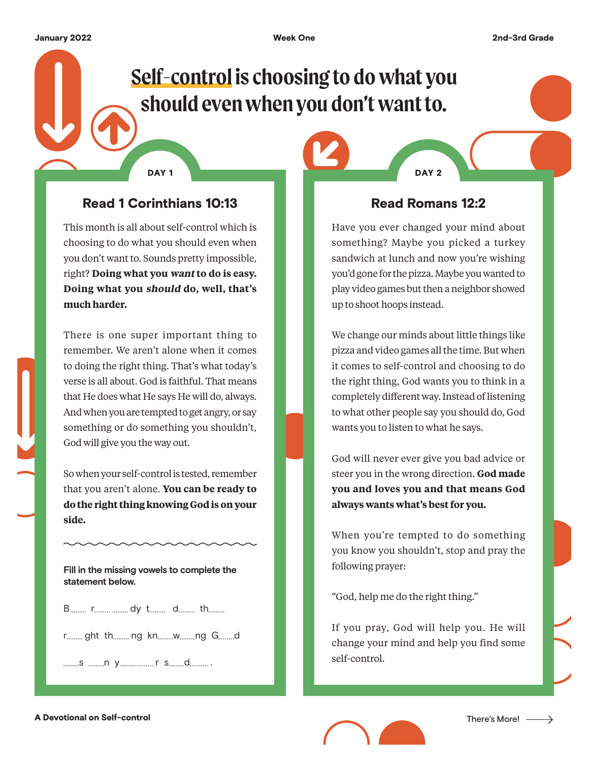# **Self-control is choosing to do what you should even when you don't want to.**

## Read 1 Corinthians 10:13

DAY<sub>1</sub>

This month is all about self-control which is choosing to do what you should even when you don't want to. Sounds pretty impossible, right? **Doing what you want to do is easy. Doing what you should do, well, that's much harder.**

There is one super important thing to remember. We aren't alone when it comes to doing the right thing. That's what today's verse is all about. God is faithful. That means that He does what He says He will do, always. And when you are tempted to get angry, or say something or do something you shouldn't, God will give you the way out.

So when your self-control is tested, remember that you aren't alone. **You can be ready to do the right thing knowing God is on your side.**

**Fill in the missing vowels to complete the statement below.**

B r dy t d th

r ......... ght th ......... ng kn ........... w ...........ng G .........d

s n y r s d .

### Read Romans 12:2

DAY<sub>2</sub>

Have you ever changed your mind about something? Maybe you picked a turkey sandwich at lunch and now you're wishing you'd gone for the pizza. Maybe you wanted to play video games but then a neighbor showed up to shoot hoops instead.

We change our minds about little things like pizza and video games all the time. But when it comes to self-control and choosing to do the right thing, God wants you to think in a completely different way. Instead of listening to what other people say you should do, God wants you to listen to what he says.

God will never ever give you bad advice or steer you in the wrong direction. **God made you and loves you and that means God always wants what's best for you.**

When you're tempted to do something you know you shouldn't, stop and pray the following prayer:

"God, help me do the right thing."

If you pray, God will help you. He will change your mind and help you find some self-control.

A Devotional on Self-control **There's More!** A Devotional on Self-control There's More!

 $\rightarrow$